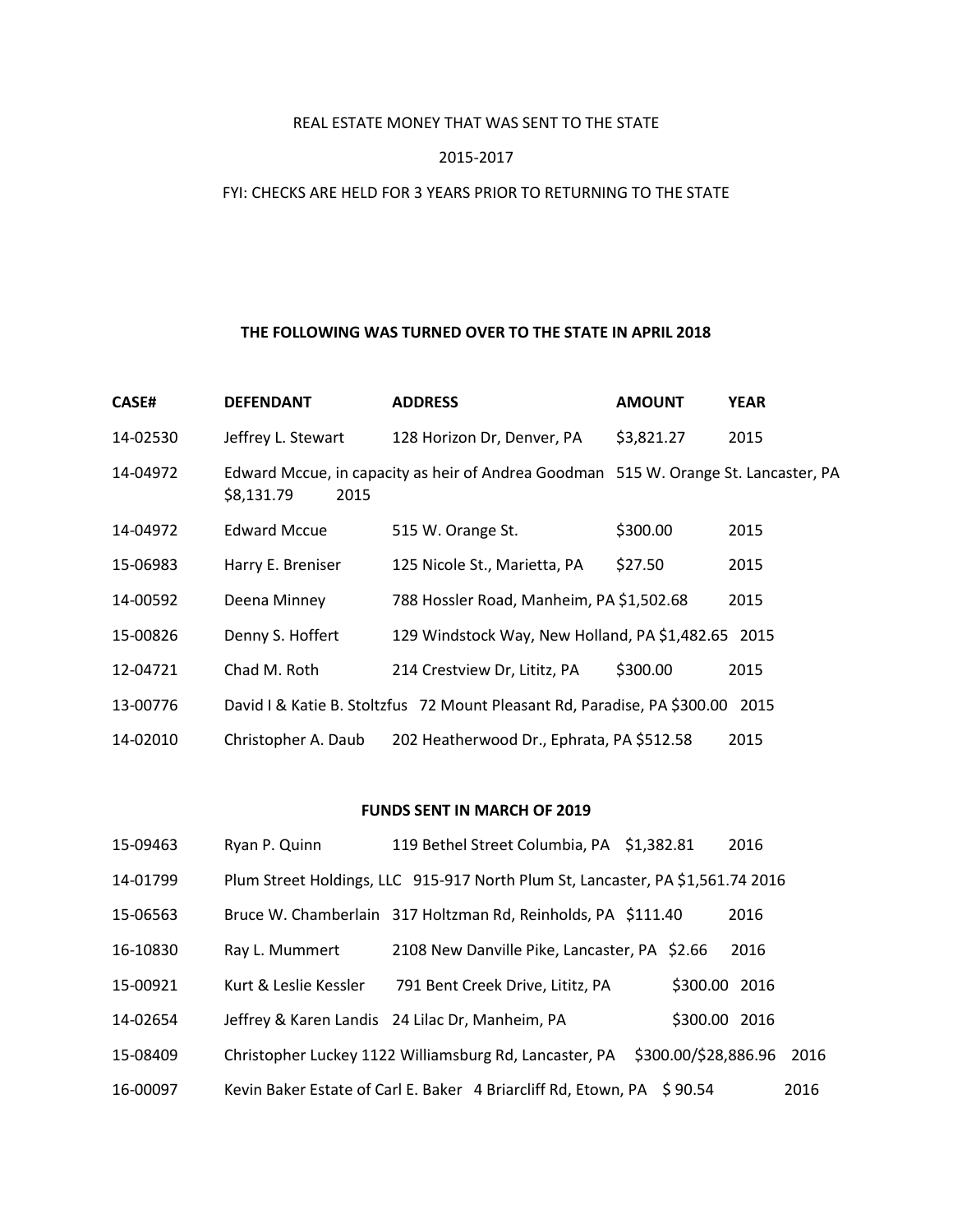# REAL ESTATE MONEY THAT WAS SENT TO THE STATE

### 2015-2017

## FYI: CHECKS ARE HELD FOR 3 YEARS PRIOR TO RETURNING TO THE STATE

#### **THE FOLLOWING WAS TURNED OVER TO THE STATE IN APRIL 2018**

| <b>CASE#</b> | <b>DEFENDANT</b>    | <b>ADDRESS</b>                                                                      | <b>AMOUNT</b> | <b>YEAR</b> |
|--------------|---------------------|-------------------------------------------------------------------------------------|---------------|-------------|
| 14-02530     | Jeffrey L. Stewart  | 128 Horizon Dr, Denver, PA                                                          | \$3,821.27    | 2015        |
| 14-04972     | \$8,131.79<br>2015  | Edward Mccue, in capacity as heir of Andrea Goodman 515 W. Orange St. Lancaster, PA |               |             |
| 14-04972     | <b>Edward Mccue</b> | 515 W. Orange St.                                                                   | \$300.00      | 2015        |
| 15-06983     | Harry E. Breniser   | 125 Nicole St., Marietta, PA                                                        | \$27.50       | 2015        |
| 14-00592     | Deena Minney        | 788 Hossler Road, Manheim, PA \$1,502.68                                            |               | 2015        |
| 15-00826     | Denny S. Hoffert    | 129 Windstock Way, New Holland, PA \$1,482.65 2015                                  |               |             |
| 12-04721     | Chad M. Roth        | 214 Crestview Dr, Lititz, PA                                                        | \$300.00      | 2015        |
| 13-00776     |                     | David I & Katie B. Stoltzfus 72 Mount Pleasant Rd, Paradise, PA \$300.00            |               | 2015        |
| 14-02010     | Christopher A. Daub | 202 Heatherwood Dr., Ephrata, PA \$512.58                                           |               | 2015        |

#### **FUNDS SENT IN MARCH OF 2019**

| 15-09463 | Ryan P. Quinn         | 119 Bethel Street Columbia, PA \$1,382.81                                      |                      | 2016          |      |
|----------|-----------------------|--------------------------------------------------------------------------------|----------------------|---------------|------|
| 14-01799 |                       | Plum Street Holdings, LLC 915-917 North Plum St, Lancaster, PA \$1,561.74 2016 |                      |               |      |
| 15-06563 |                       | Bruce W. Chamberlain 317 Holtzman Rd, Reinholds, PA \$111.40                   |                      | 2016          |      |
| 16-10830 | Ray L. Mummert        | 2108 New Danville Pike, Lancaster, PA \$2.66                                   |                      | 2016          |      |
| 15-00921 | Kurt & Leslie Kessler | 791 Bent Creek Drive, Lititz, PA                                               |                      | \$300.00 2016 |      |
| 14-02654 |                       | Jeffrey & Karen Landis 24 Lilac Dr, Manheim, PA                                |                      | \$300.00 2016 |      |
| 15-08409 |                       | Christopher Luckey 1122 Williamsburg Rd, Lancaster, PA                         | \$300.00/\$28,886.96 |               | 2016 |
| 16-00097 |                       | Kevin Baker Estate of Carl E. Baker 4 Briarcliff Rd, Etown, PA \$90.54         |                      |               | 2016 |